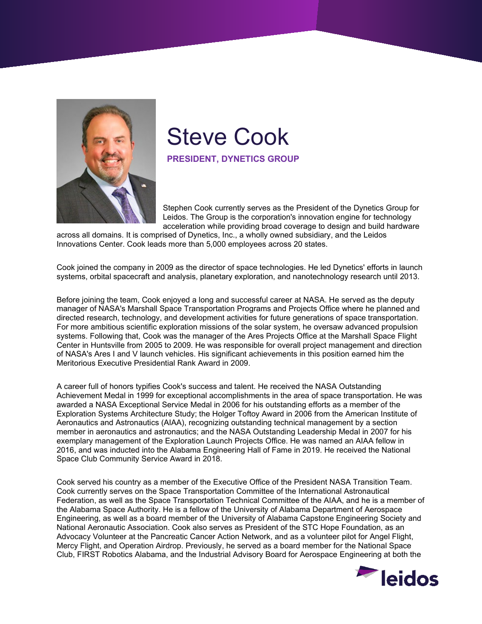

## Steve Cook

**PRESIDENT, DYNETICS GROUP**

Stephen Cook currently serves as the President of the Dynetics Group for Leidos. The Group is the corporation's innovation engine for technology acceleration while providing broad coverage to design and build hardware

across all domains. It is comprised of Dynetics, Inc., a wholly owned subsidiary, and the Leidos Innovations Center. Cook leads more than 5,000 employees across 20 states.

Cook joined the company in 2009 as the director of space technologies. He led Dynetics' efforts in launch systems, orbital spacecraft and analysis, planetary exploration, and nanotechnology research until 2013.

Before joining the team, Cook enjoyed a long and successful career at NASA. He served as the deputy manager of NASA's Marshall Space Transportation Programs and Projects Office where he planned and directed research, technology, and development activities for future generations of space transportation. For more ambitious scientific exploration missions of the solar system, he oversaw advanced propulsion systems. Following that, Cook was the manager of the Ares Projects Office at the Marshall Space Flight Center in Huntsville from 2005 to 2009. He was responsible for overall project management and direction of NASA's Ares I and V launch vehicles. His significant achievements in this position earned him the Meritorious Executive Presidential Rank Award in 2009.

A career full of honors typifies Cook's success and talent. He received the NASA Outstanding Achievement Medal in 1999 for exceptional accomplishments in the area of space transportation. He was awarded a NASA Exceptional Service Medal in 2006 for his outstanding efforts as a member of the Exploration Systems Architecture Study; the Holger Toftoy Award in 2006 from the American Institute of Aeronautics and Astronautics (AIAA), recognizing outstanding technical management by a section member in aeronautics and astronautics; and the NASA Outstanding Leadership Medal in 2007 for his exemplary management of the Exploration Launch Projects Office. He was named an AIAA fellow in 2016, and was inducted into the Alabama Engineering Hall of Fame in 2019. He received the National Space Club Community Service Award in 2018.

Cook served his country as a member of the Executive Office of the President NASA Transition Team. Cook currently serves on the Space Transportation Committee of the International Astronautical Federation, as well as the Space Transportation Technical Committee of the AIAA, and he is a member of the Alabama Space Authority. He is a fellow of the University of Alabama Department of Aerospace Engineering, as well as a board member of the University of Alabama Capstone Engineering Society and National Aeronautic Association. Cook also serves as President of the STC Hope Foundation, as an Advocacy Volunteer at the Pancreatic Cancer Action Network, and as a volunteer pilot for Angel Flight, Mercy Flight, and Operation Airdrop. Previously, he served as a board member for the National Space Club, FIRST Robotics Alabama, and the Industrial Advisory Board for Aerospace Engineering at both the